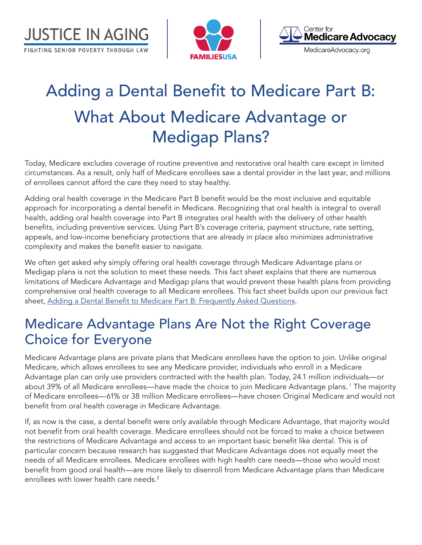





# Adding a Dental Benefit to Medicare Part B: What About Medicare Advantage or Medigap Plans?

Today, Medicare excludes coverage of routine preventive and restorative oral health care except in limited circumstances. As a result, only half of Medicare enrollees saw a dental provider in the last year, and millions of enrollees cannot afford the care they need to stay healthy.

Adding oral health coverage in the Medicare Part B beneft would be the most inclusive and equitable approach for incorporating a dental benefit in Medicare. Recognizing that oral health is integral to overall health, adding oral health coverage into Part B integrates oral health with the delivery of other health benefts, including preventive services. Using Part B's coverage criteria, payment structure, rate setting, appeals, and low-income beneficiary protections that are already in place also minimizes administrative complexity and makes the beneft easier to navigate.

We often get asked why simply offering oral health coverage through Medicare Advantage plans or Medigap plans is not the solution to meet these needs. This fact sheet explains that there are numerous limitations of Medicare Advantage and Medigap plans that would prevent these health plans from providing comprehensive oral health coverage to all Medicare enrollees. This fact sheet builds upon our previous fact sheet, Adding a Dental Benefit to Medicare Part B: Frequently Asked Questions.

#### Medicare Advantage Plans Are Not the Right Coverage Choice for Everyone

Medicare Advantage plans are private plans that Medicare enrollees have the option to join. Unlike original Medicare, which allows enrollees to see any Medicare provider, individuals who enroll in a Medicare Advantage plan can only use providers contracted with the health plan. Today, 24.1 million individuals—or about 39% of all Medicare enrollees—have made the choice to join Medicare Advantage plans. <sup>1</sup> The majority of Medicare enrollees—61% or 38 million Medicare enrollees—have chosen Original Medicare and would not benefit from oral health coverage in Medicare Advantage.

If, as now is the case, a dental benefit were only available through Medicare Advantage, that majority would not benefit from oral health coverage. Medicare enrollees should not be forced to make a choice between the restrictions of Medicare Advantage and access to an important basic beneft like dental. This is of particular concern because research has suggested that Medicare Advantage does not equally meet the needs of all Medicare enrollees. Medicare enrollees with high health care needs—those who would most benefit from good oral health—are more likely to disenroll from Medicare Advantage plans than Medicare enrollees with lower health care needs.<sup>2</sup>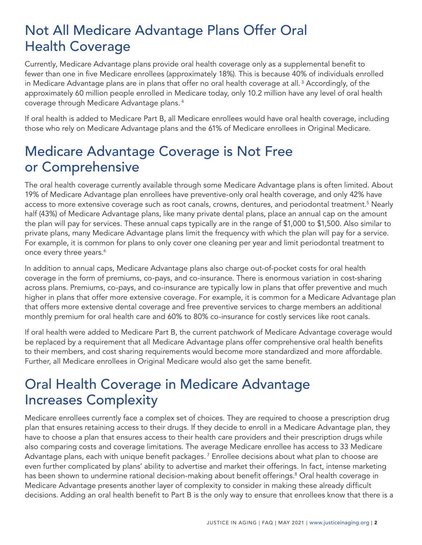#### Not All Medicare Advantage Plans Offer Oral Health Coverage

Currently, Medicare Advantage plans provide oral health coverage only as a supplemental beneft to fewer than one in fve Medicare enrollees (approximately 18%). This is because 40% of individuals enrolled in Medicare Advantage plans are in plans that offer no oral health coverage at all.  $^3$  Accordingly, of the approximately 60 million people enrolled in Medicare today, only 10.2 million have any level of oral health coverage through Medicare Advantage plans. 4

If oral health is added to Medicare Part B, all Medicare enrollees would have oral health coverage, including those who rely on Medicare Advantage plans and the 61% of Medicare enrollees in Original Medicare.

#### Medicare Advantage Coverage is Not Free or Comprehensive

The oral health coverage currently available through some Medicare Advantage plans is often limited. About 19% of Medicare Advantage plan enrollees have preventive-only oral health coverage, and only 42% have access to more extensive coverage such as root canals, crowns, dentures, and periodontal treatment.<sup>5</sup> Nearly half (43%) of Medicare Advantage plans, like many private dental plans, place an annual cap on the amount the plan will pay for services. These annual caps typically are in the range of \$1,000 to \$1,500. Also similar to private plans, many Medicare Advantage plans limit the frequency with which the plan will pay for a service. For example, it is common for plans to only cover one cleaning per year and limit periodontal treatment to once every three years.<sup>6</sup>

In addition to annual caps, Medicare Advantage plans also charge out-of-pocket costs for oral health coverage in the form of premiums, co-pays, and co-insurance. There is enormous variation in cost-sharing across plans. Premiums, co-pays, and co-insurance are typically low in plans that offer preventive and much higher in plans that offer more extensive coverage. For example, it is common for a Medicare Advantage plan that offers more extensive dental coverage and free preventive services to charge members an additional monthly premium for oral health care and 60% to 80% co-insurance for costly services like root canals.

If oral health were added to Medicare Part B, the current patchwork of Medicare Advantage coverage would be replaced by a requirement that all Medicare Advantage plans offer comprehensive oral health benefts to their members, and cost sharing requirements would become more standardized and more affordable. Further, all Medicare enrollees in Original Medicare would also get the same beneft.

#### Oral Health Coverage in Medicare Advantage Increases Complexity

Medicare enrollees currently face a complex set of choices. They are required to choose a prescription drug plan that ensures retaining access to their drugs. If they decide to enroll in a Medicare Advantage plan, they have to choose a plan that ensures access to their health care providers and their prescription drugs while also comparing costs and coverage limitations. The average Medicare enrollee has access to 33 Medicare Advantage plans, each with unique benefit packages.  $^7$  Enrollee decisions about what plan to choose are  $\,$ even further complicated by plans' ability to advertise and market their offerings. In fact, intense marketing has been shown to undermine rational decision-making about benefit offerings.<sup>8</sup> Oral health coverage in Medicare Advantage presents another layer of complexity to consider in making these already difficult decisions. Adding an oral health beneft to Part B is the only way to ensure that enrollees know that there is a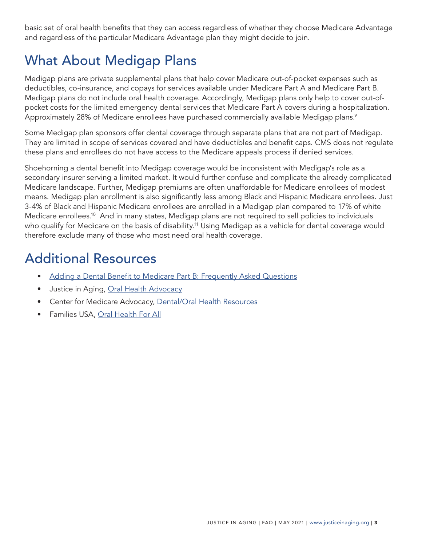basic set of oral health benefits that they can access regardless of whether they choose Medicare Advantage and regardless of the particular Medicare Advantage plan they might decide to join.

# What About Medigap Plans

Medigap plans are private supplemental plans that help cover Medicare out-of-pocket expenses such as deductibles, co-insurance, and copays for services available under Medicare Part A and Medicare Part B. Medigap plans do not include oral health coverage. Accordingly, Medigap plans only help to cover out-ofpocket costs for the limited emergency dental services that Medicare Part A covers during a hospitalization. Approximately 28% of Medicare enrollees have purchased commercially available Medigap plans.<sup>9</sup>

Some Medigap plan sponsors offer dental coverage through separate plans that are not part of Medigap. They are limited in scope of services covered and have deductibles and benefit caps. CMS does not regulate these plans and enrollees do not have access to the Medicare appeals process if denied services.

Shoehorning a dental benefit into Medigap coverage would be inconsistent with Medigap's role as a secondary insurer serving a limited market. It would further confuse and complicate the already complicated Medicare landscape. Further, Medigap premiums are often unaffordable for Medicare enrollees of modest means. Medigap plan enrollment is also significantly less among Black and Hispanic Medicare enrollees. Just 3-4% of Black and Hispanic Medicare enrollees are enrolled in a Medigap plan compared to 17% of white Medicare enrollees.<sup>10</sup> And in many states, Medigap plans are not required to sell policies to individuals who qualify for Medicare on the basis of disability.<sup>11</sup> Using Medigap as a vehicle for dental coverage would therefore exclude many of those who most need oral health coverage.

## Additional Resources

- Adding a Dental Benefit to Medicare Part B: Frequently Asked Questions
- Justice in Aging, Oral Health Advocacy
- Center for Medicare Advocacy, Dental/Oral Health Resources
- Families USA, Oral Health For All